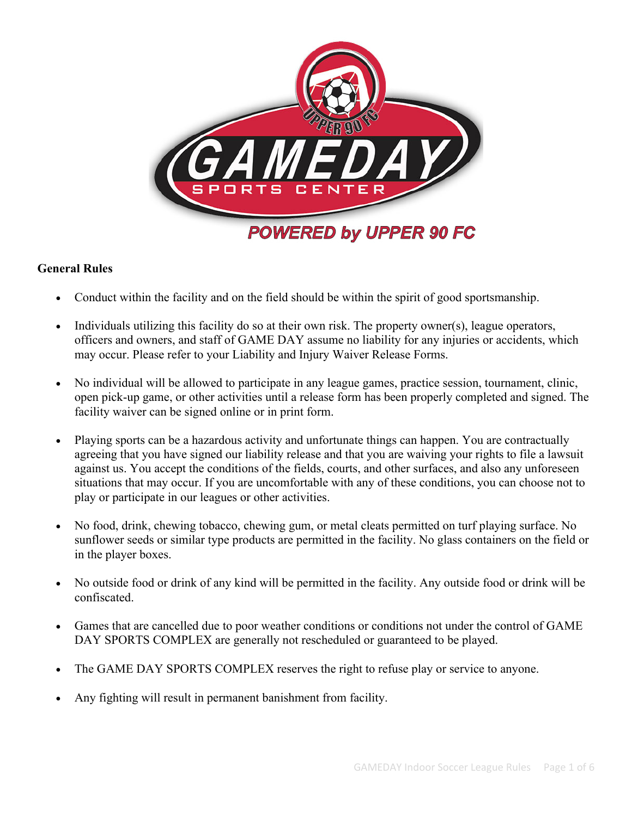

# **General Rules**

- Conduct within the facility and on the field should be within the spirit of good sportsmanship.
- Individuals utilizing this facility do so at their own risk. The property owner(s), league operators, officers and owners, and staff of GAME DAY assume no liability for any injuries or accidents, which may occur. Please refer to your Liability and Injury Waiver Release Forms.
- No individual will be allowed to participate in any league games, practice session, tournament, clinic, open pick-up game, or other activities until a release form has been properly completed and signed. The facility waiver can be signed online or in print form.
- Playing sports can be a hazardous activity and unfortunate things can happen. You are contractually agreeing that you have signed our liability release and that you are waiving your rights to file a lawsuit against us. You accept the conditions of the fields, courts, and other surfaces, and also any unforeseen situations that may occur. If you are uncomfortable with any of these conditions, you can choose not to play or participate in our leagues or other activities.
- No food, drink, chewing tobacco, chewing gum, or metal cleats permitted on turf playing surface. No sunflower seeds or similar type products are permitted in the facility. No glass containers on the field or in the player boxes.
- No outside food or drink of any kind will be permitted in the facility. Any outside food or drink will be confiscated.
- Games that are cancelled due to poor weather conditions or conditions not under the control of GAME DAY SPORTS COMPLEX are generally not rescheduled or guaranteed to be played.
- The GAME DAY SPORTS COMPLEX reserves the right to refuse play or service to anyone.
- Any fighting will result in permanent banishment from facility.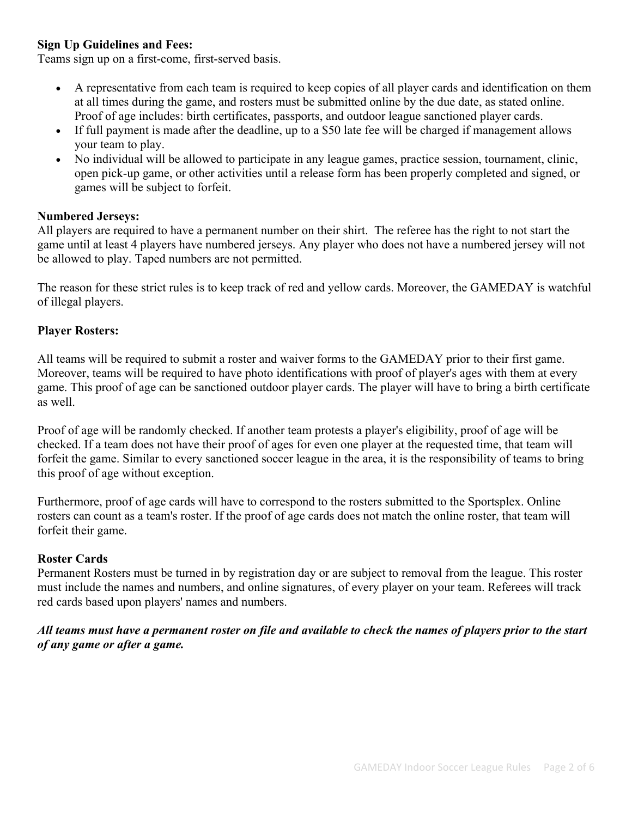# **Sign Up Guidelines and Fees:**

Teams sign up on a first-come, first-served basis.

- A representative from each team is required to keep copies of all player cards and identification on them at all times during the game, and rosters must be submitted online by the due date, as stated online. Proof of age includes: birth certificates, passports, and outdoor league sanctioned player cards.
- If full payment is made after the deadline, up to a \$50 late fee will be charged if management allows your team to play.
- No individual will be allowed to participate in any league games, practice session, tournament, clinic, open pick-up game, or other activities until a release form has been properly completed and signed, or games will be subject to forfeit.

## **Numbered Jerseys:**

All players are required to have a permanent number on their shirt. The referee has the right to not start the game until at least 4 players have numbered jerseys. Any player who does not have a numbered jersey will not be allowed to play. Taped numbers are not permitted.

The reason for these strict rules is to keep track of red and yellow cards. Moreover, the GAMEDAY is watchful of illegal players.

## **Player Rosters:**

All teams will be required to submit a roster and waiver forms to the GAMEDAY prior to their first game. Moreover, teams will be required to have photo identifications with proof of player's ages with them at every game. This proof of age can be sanctioned outdoor player cards. The player will have to bring a birth certificate as well.

Proof of age will be randomly checked. If another team protests a player's eligibility, proof of age will be checked. If a team does not have their proof of ages for even one player at the requested time, that team will forfeit the game. Similar to every sanctioned soccer league in the area, it is the responsibility of teams to bring this proof of age without exception.

Furthermore, proof of age cards will have to correspond to the rosters submitted to the Sportsplex. Online rosters can count as a team's roster. If the proof of age cards does not match the online roster, that team will forfeit their game.

# **Roster Cards**

Permanent Rosters must be turned in by registration day or are subject to removal from the league. This roster must include the names and numbers, and online signatures, of every player on your team. Referees will track red cards based upon players' names and numbers.

*All teams must have a permanent roster on file and available to check the names of players prior to the start of any game or after a game.*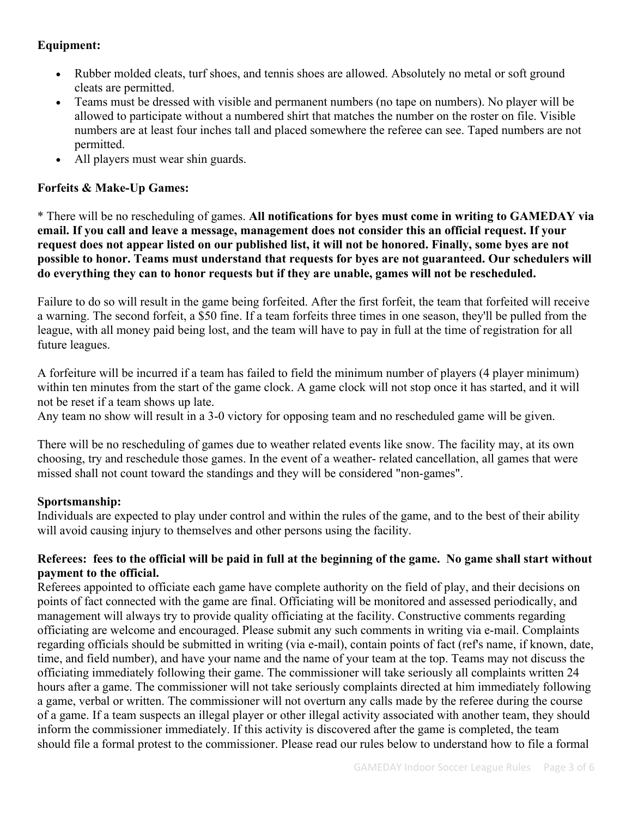# **Equipment:**

- Rubber molded cleats, turf shoes, and tennis shoes are allowed. Absolutely no metal or soft ground cleats are permitted.
- Teams must be dressed with visible and permanent numbers (no tape on numbers). No player will be allowed to participate without a numbered shirt that matches the number on the roster on file. Visible numbers are at least four inches tall and placed somewhere the referee can see. Taped numbers are not permitted.
- All players must wear shin guards.

## **Forfeits & Make-Up Games:**

\* There will be no rescheduling of games. **All notifications for byes must come in writing to GAMEDAY via email. If you call and leave a message, management does not consider this an official request. If your request does not appear listed on our published list, it will not be honored. Finally, some byes are not possible to honor. Teams must understand that requests for byes are not guaranteed. Our schedulers will do everything they can to honor requests but if they are unable, games will not be rescheduled.** 

Failure to do so will result in the game being forfeited. After the first forfeit, the team that forfeited will receive a warning. The second forfeit, a \$50 fine. If a team forfeits three times in one season, they'll be pulled from the league, with all money paid being lost, and the team will have to pay in full at the time of registration for all future leagues.

A forfeiture will be incurred if a team has failed to field the minimum number of players (4 player minimum) within ten minutes from the start of the game clock. A game clock will not stop once it has started, and it will not be reset if a team shows up late.

Any team no show will result in a 3-0 victory for opposing team and no rescheduled game will be given.

There will be no rescheduling of games due to weather related events like snow. The facility may, at its own choosing, try and reschedule those games. In the event of a weather- related cancellation, all games that were missed shall not count toward the standings and they will be considered "non-games".

## **Sportsmanship:**

Individuals are expected to play under control and within the rules of the game, and to the best of their ability will avoid causing injury to themselves and other persons using the facility.

#### **Referees: fees to the official will be paid in full at the beginning of the game. No game shall start without payment to the official.**

Referees appointed to officiate each game have complete authority on the field of play, and their decisions on points of fact connected with the game are final. Officiating will be monitored and assessed periodically, and management will always try to provide quality officiating at the facility. Constructive comments regarding officiating are welcome and encouraged. Please submit any such comments in writing via e-mail. Complaints regarding officials should be submitted in writing (via e-mail), contain points of fact (ref's name, if known, date, time, and field number), and have your name and the name of your team at the top. Teams may not discuss the officiating immediately following their game. The commissioner will take seriously all complaints written 24 hours after a game. The commissioner will not take seriously complaints directed at him immediately following a game, verbal or written. The commissioner will not overturn any calls made by the referee during the course of a game. If a team suspects an illegal player or other illegal activity associated with another team, they should inform the commissioner immediately. If this activity is discovered after the game is completed, the team should file a formal protest to the commissioner. Please read our rules below to understand how to file a formal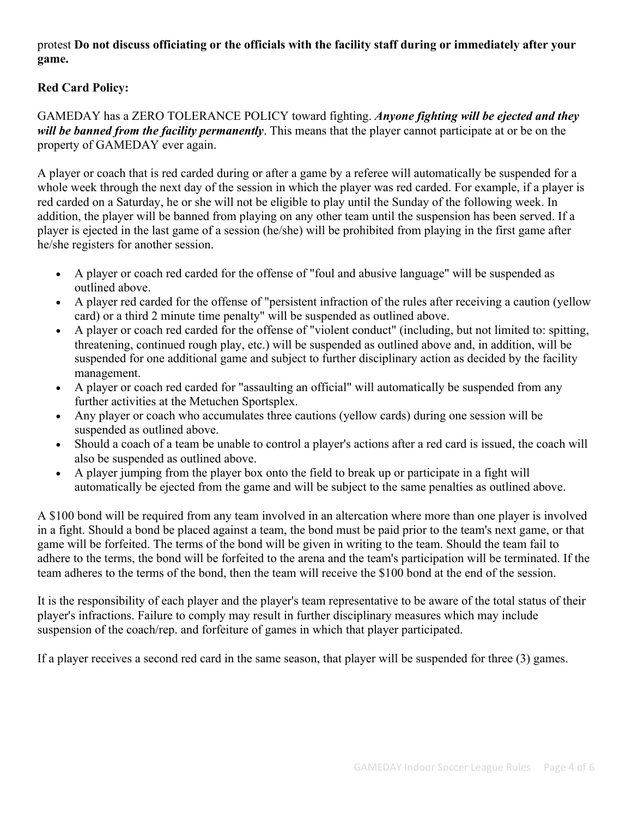# protest **Do not discuss officiating or the officials with the facility staff during or immediately after your game.**

# **Red Card Policy:**

## GAMEDAY has a ZERO TOLERANCE POLICY toward fighting. *Anyone fighting will be ejected and they will be banned from the facility permanently*. This means that the player cannot participate at or be on the property of GAMEDAY ever again.

A player or coach that is red carded during or after a game by a referee will automatically be suspended for a whole week through the next day of the session in which the player was red carded. For example, if a player is red carded on a Saturday, he or she will not be eligible to play until the Sunday of the following week. In addition, the player will be banned from playing on any other team until the suspension has been served. If a player is ejected in the last game of a session (he/she) will be prohibited from playing in the first game after he/she registers for another session.

- A player or coach red carded for the offense of "foul and abusive language" will be suspended as outlined above.
- A player red carded for the offense of "persistent infraction of the rules after receiving a caution (yellow card) or a third 2 minute time penalty" will be suspended as outlined above.
- A player or coach red carded for the offense of "violent conduct" (including, but not limited to: spitting, threatening, continued rough play, etc.) will be suspended as outlined above and, in addition, will be suspended for one additional game and subject to further disciplinary action as decided by the facility management.
- A player or coach red carded for "assaulting an official" will automatically be suspended from any further activities at the Metuchen Sportsplex.
- Any player or coach who accumulates three cautions (yellow cards) during one session will be suspended as outlined above.
- Should a coach of a team be unable to control a player's actions after a red card is issued, the coach will also be suspended as outlined above.
- A player jumping from the player box onto the field to break up or participate in a fight will automatically be ejected from the game and will be subject to the same penalties as outlined above.

A \$100 bond will be required from any team involved in an altercation where more than one player is involved in a fight. Should a bond be placed against a team, the bond must be paid prior to the team's next game, or that game will be forfeited. The terms of the bond will be given in writing to the team. Should the team fail to adhere to the terms, the bond will be forfeited to the arena and the team's participation will be terminated. If the team adheres to the terms of the bond, then the team will receive the \$100 bond at the end of the session.

It is the responsibility of each player and the player's team representative to be aware of the total status of their player's infractions. Failure to comply may result in further disciplinary measures which may include suspension of the coach/rep. and forfeiture of games in which that player participated.

If a player receives a second red card in the same season, that player will be suspended for three (3) games.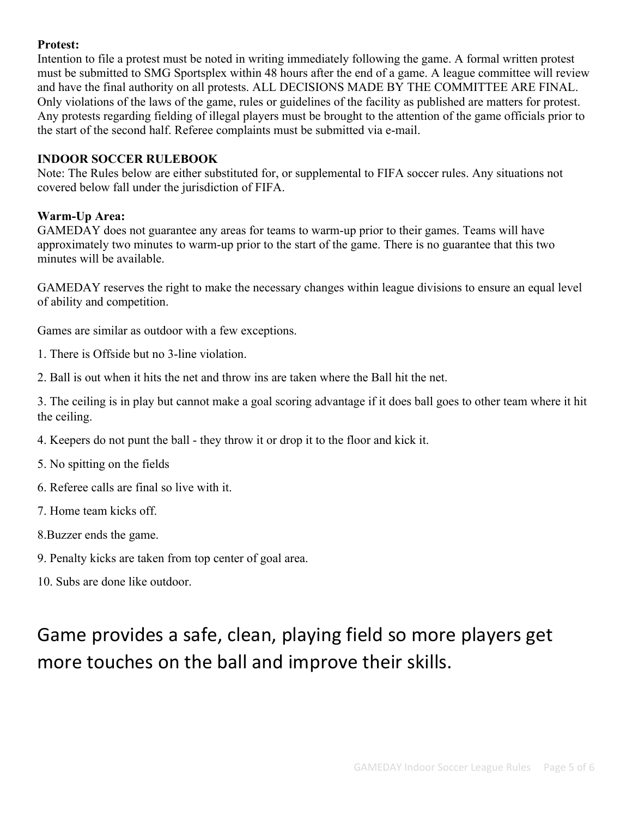# **Protest:**

Intention to file a protest must be noted in writing immediately following the game. A formal written protest must be submitted to SMG Sportsplex within 48 hours after the end of a game. A league committee will review and have the final authority on all protests. ALL DECISIONS MADE BY THE COMMITTEE ARE FINAL. Only violations of the laws of the game, rules or guidelines of the facility as published are matters for protest. Any protests regarding fielding of illegal players must be brought to the attention of the game officials prior to the start of the second half. Referee complaints must be submitted via e-mail.

## **INDOOR SOCCER RULEBOOK**

Note: The Rules below are either substituted for, or supplemental to FIFA soccer rules. Any situations not covered below fall under the jurisdiction of FIFA.

# **Warm-Up Area:**

GAMEDAY does not guarantee any areas for teams to warm-up prior to their games. Teams will have approximately two minutes to warm-up prior to the start of the game. There is no guarantee that this two minutes will be available.

GAMEDAY reserves the right to make the necessary changes within league divisions to ensure an equal level of ability and competition.

Games are similar as outdoor with a few exceptions.

- 1. There is Offside but no 3-line violation.
- 2. Ball is out when it hits the net and throw ins are taken where the Ball hit the net.

3. The ceiling is in play but cannot make a goal scoring advantage if it does ball goes to other team where it hit the ceiling.

- 4. Keepers do not punt the ball they throw it or drop it to the floor and kick it.
- 5. No spitting on the fields
- 6. Referee calls are final so live with it.
- 7. Home team kicks off.
- 8.Buzzer ends the game.
- 9. Penalty kicks are taken from top center of goal area.
- 10. Subs are done like outdoor.

# Game provides a safe, clean, playing field so more players get more touches on the ball and improve their skills.